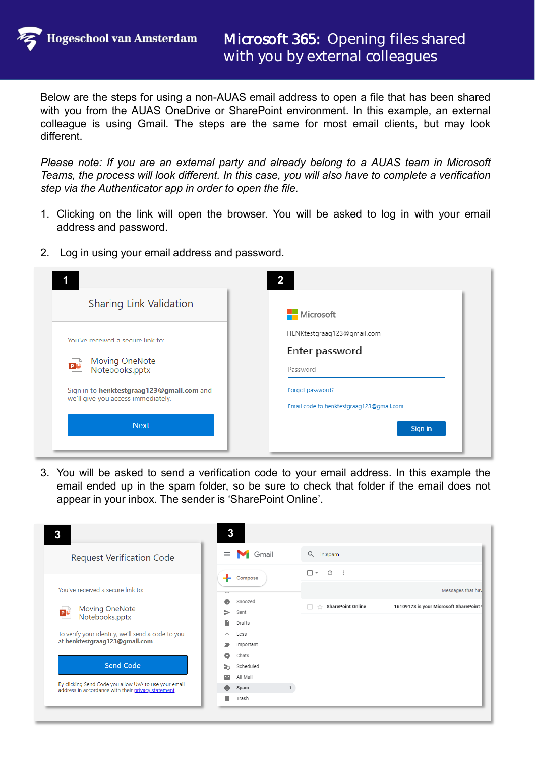**Hogeschool van Amsterdam** 

Below are the steps for using a non-AUAS email address to open a file that has been shared with you from the AUAS OneDrive or SharePoint environment. In this example, an external colleague is using Gmail. The steps are the same for most email clients, but may look different.

*Please note: If you are an external party and already belong to a AUAS team in Microsoft Teams, the process will look different. In this case, you will also have to complete a verification step via the Authenticator app in order to open the file.*

- 1. Clicking on the link will open the browser. You will be asked to log in with your email address and password.
- 2. Log in using your email address and password.

|                                                                                 | $\mathbf{2}$                             |
|---------------------------------------------------------------------------------|------------------------------------------|
| <b>Sharing Link Validation</b>                                                  | Microsoft                                |
| You've received a secure link to:                                               | HENKtestgraag123@gmail.com               |
|                                                                                 | Enter password                           |
| Moving OneNote<br><b>p</b> c<br>Notebooks.pptx                                  | Password                                 |
| Sign in to henktestgraag123@gmail.com and<br>we'll give you access immediately. | Forgot password?                         |
|                                                                                 | Email code to henktestgraag123@gmail.com |
| <b>Next</b>                                                                     | Sign in                                  |
|                                                                                 |                                          |

3. You will be asked to send a verification code to your email address. In this example the email ended up in the spam folder, so be sure to check that folder if the email does not appear in your inbox. The sender is 'SharePoint Online'.

| 3                                                                                                            | 3                               |                                                                   |
|--------------------------------------------------------------------------------------------------------------|---------------------------------|-------------------------------------------------------------------|
| <b>Request Verification Code</b>                                                                             | Gmail<br>$\equiv$               | Q<br>in:spam                                                      |
|                                                                                                              | Compose                         | $\mathbb{C}$<br>$\Box$ $\sim$<br>$\cdot$ :                        |
| You've received a secure link to:                                                                            |                                 | Messages that hav                                                 |
| Moving OneNote<br>Notebooks.pptx<br><b>P C</b>                                                               | Snoozed<br>Sent<br>⋗            | 16109178 is your Microsoft SharePoint<br><b>SharePoint Online</b> |
| To verify your identity, we'll send a code to you                                                            | n<br>Drafts<br>Less<br>$\wedge$ |                                                                   |
| at henktestgraag123@gmail.com.                                                                               | Important<br>∍                  |                                                                   |
| <b>Send Code</b>                                                                                             | Chats<br>ω<br>Scheduled<br>ক    |                                                                   |
|                                                                                                              | All Mail<br>M                   |                                                                   |
| By clicking Send Code you allow UvA to use your email<br>address in accordance with their privacy statement. | Spam<br>ø                       |                                                                   |
|                                                                                                              | Ê<br>Trash                      |                                                                   |